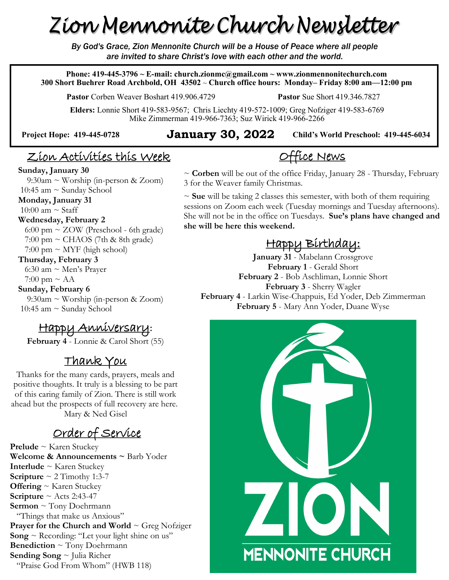# Zion Mennonite Church Newsletter

*By God's Grace, Zion Mennonite Church will be a House of Peace where all people are invited to share Christ's love with each other and the world.*

**Phone: 419-445-3796 ~ E-mail: church.zionmc@gmail.com ~ www.zionmennonitechurch.com 300 Short Buehrer Road Archbold, OH 43502** ~ **Church office hours: Monday– Friday 8:00 am—12:00 pm** 

**Pastor** Corben Weaver Boshart 419.906.4729 **Pastor** Sue Short 419.346.7827

**Elders:** Lonnie Short 419-583-9567; Chris Liechty 419-572-1009; Greg Nofziger 419-583-6769 Mike Zimmerman 419-966-7363; Suz Wirick 419-966-2266

#### **Child's World Preschool: 419-445-6034 Project Hope: 419-445-<sup>0728</sup> January 30, 2022**

### Zion Activities this Week

#### **Sunday, January 30**

 $9:30$ am ~ Worship (in-person & Zoom) 10:45 am  $\sim$  Sunday School

#### **Monday, January 31**

10:00 am  $\sim$  Staff

#### **Wednesday, February 2**

 6:00 pm ~ ZOW (Preschool - 6th grade)  $7:00 \text{ pm} \sim \text{CHAOS}$  (7th & 8th grade)  $7:00 \text{ pm} \sim \text{MYF}$  (high school)

#### **Thursday, February 3**

 6:30 am ~ Men's Prayer  $7:00 \text{ pm} \sim \text{AA}$ 

#### **Sunday, February 6**

 9:30am ~ Worship (in-person & Zoom) 10:45 am  $\sim$  Sunday School

### Happy Anniversary**:**

**February 4** - Lonnie & Carol Short (55)

### Thank You

Thanks for the many cards, prayers, meals and positive thoughts. It truly is a blessing to be part of this caring family of Zion. There is still work ahead but the prospects of full recovery are here. Mary & Ned Gisel

### Order of Service

**Prelude** ~ Karen Stuckey **Welcome & Announcements ~** Barb Yoder **Interlude** ~ Karen Stuckey **Scripture**  $\sim$  2 Timothy 1:3-7 **Offering** ~ Karen Stuckey **Scripture**  $\sim$  Acts 2:43-47 **Sermon** ~ Tony Doehrmann "Things that make us Anxious" **Prayer for the Church and World ~ Greg Nofziger Song**  $\sim$  Recording: "Let your light shine on us" **Benediction** ~ Tony Doehrmann **Sending Song** ~ Julia Richer "Praise God From Whom" (HWB 118)

~ **Corben** will be out of the office Friday, January 28 - Thursday, February 3 for the Weaver family Christmas.

Office News

~ **Sue** will be taking 2 classes this semester, with both of them requiring sessions on Zoom each week (Tuesday mornings and Tuesday afternoons). She will not be in the office on Tuesdays. **Sue's plans have changed and she will be here this weekend.**

## Happy Birthday:

**January 31** - Mabelann Crossgrove **February 1** - Gerald Short **February 2** - Bob Aschliman, Lonnie Short **February 3** - Sherry Wagler **February 4** - Larkin Wise-Chappuis, Ed Yoder, Deb Zimmerman **February 5** - Mary Ann Yoder, Duane Wyse